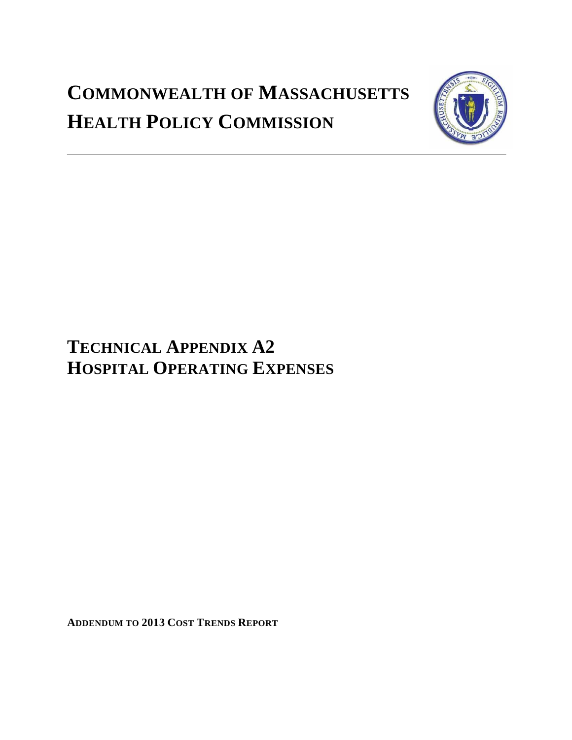# **COMMONWEALTH OF MASSACHUSETTS HEALTH POLICY COMMISSION**



## **TECHNICAL APPENDIX A2 HOSPITAL OPERATING EXPENSES**

**ADDENDUM TO 2013 COST TRENDS REPORT**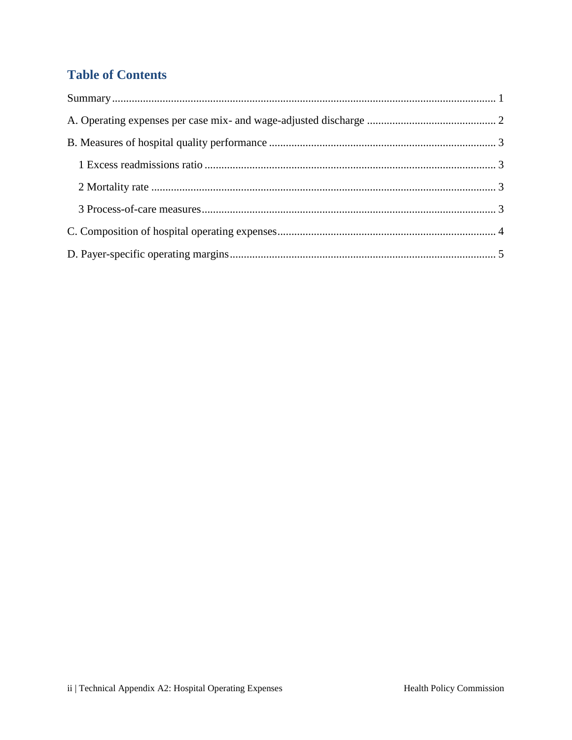## **Table of Contents**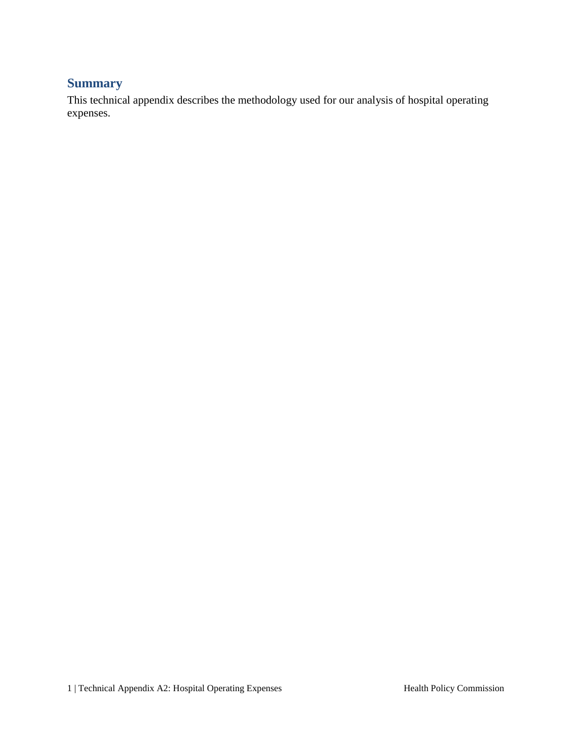#### <span id="page-2-0"></span>**Summary**

This technical appendix describes the methodology used for our analysis of hospital operating expenses.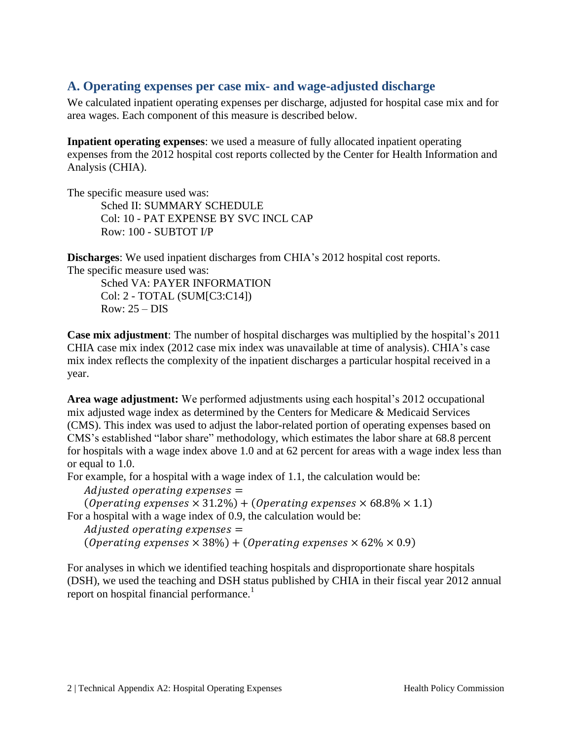## <span id="page-3-0"></span>**A. Operating expenses per case mix- and wage-adjusted discharge**

We calculated inpatient operating expenses per discharge, adjusted for hospital case mix and for area wages. Each component of this measure is described below.

**Inpatient operating expenses**: we used a measure of fully allocated inpatient operating expenses from the 2012 hospital cost reports collected by the Center for Health Information and Analysis (CHIA).

The specific measure used was: Sched II: SUMMARY SCHEDULE Col: 10 - PAT EXPENSE BY SVC INCL CAP Row: 100 - SUBTOT I/P

**Discharges**: We used inpatient discharges from CHIA's 2012 hospital cost reports. The specific measure used was:

Sched VA: PAYER INFORMATION Col: 2 - TOTAL (SUM[C3:C14])  $Row: 25 - DIS$ 

**Case mix adjustment**: The number of hospital discharges was multiplied by the hospital's 2011 CHIA case mix index (2012 case mix index was unavailable at time of analysis). CHIA's case mix index reflects the complexity of the inpatient discharges a particular hospital received in a year.

**Area wage adjustment:** We performed adjustments using each hospital's 2012 occupational mix adjusted wage index as determined by the Centers for Medicare & Medicaid Services (CMS). This index was used to adjust the labor-related portion of operating expenses based on CMS's established "labor share" methodology, which estimates the labor share at 68.8 percent for hospitals with a wage index above 1.0 and at 62 percent for areas with a wage index less than or equal to 1.0.

For example, for a hospital with a wage index of 1.1, the calculation would be:

Adjusted operating expenses  $=$ 

(Operating expenses  $\times$  31.2%) + (Operating expenses  $\times$  68.8%  $\times$  1.1) For a hospital with a wage index of 0.9, the calculation would be:

Adjusted operating expenses  $=$ (Operating expenses  $\times$  38%) + (Operating expenses  $\times$  62%  $\times$  0.9)

For analyses in which we identified teaching hospitals and disproportionate share hospitals (DSH), we used the teaching and DSH status published by CHIA in their fiscal year 2012 annual report on hospital financial performance.<sup>1</sup>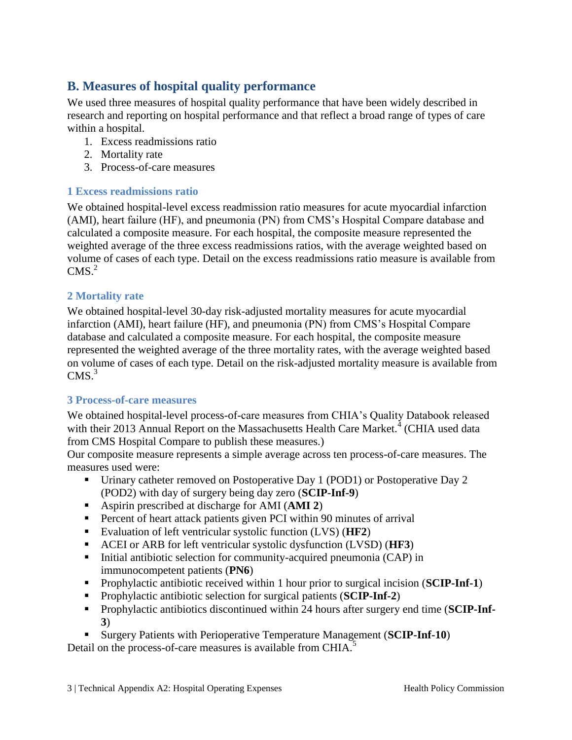## <span id="page-4-0"></span>**B. Measures of hospital quality performance**

We used three measures of hospital quality performance that have been widely described in research and reporting on hospital performance and that reflect a broad range of types of care within a hospital.

- 1. Excess readmissions ratio
- 2. Mortality rate
- 3. Process-of-care measures

#### <span id="page-4-1"></span>**1 Excess readmissions ratio**

We obtained hospital-level excess readmission ratio measures for acute myocardial infarction (AMI), heart failure (HF), and pneumonia (PN) from CMS's Hospital Compare database and calculated a composite measure. For each hospital, the composite measure represented the weighted average of the three excess readmissions ratios, with the average weighted based on volume of cases of each type. Detail on the excess readmissions ratio measure is available from  $CMS.<sup>2</sup>$ 

#### <span id="page-4-2"></span>**2 Mortality rate**

We obtained hospital-level 30-day risk-adjusted mortality measures for acute myocardial infarction (AMI), heart failure (HF), and pneumonia (PN) from CMS's Hospital Compare database and calculated a composite measure. For each hospital, the composite measure represented the weighted average of the three mortality rates, with the average weighted based on volume of cases of each type. Detail on the risk-adjusted mortality measure is available from  $CMS.<sup>3</sup>$ 

#### <span id="page-4-3"></span>**3 Process-of-care measures**

We obtained hospital-level process-of-care measures from CHIA's Quality Databook released with their 2013 Annual Report on the Massachusetts Health Care Market.<sup>4</sup> (CHIA used data from CMS Hospital Compare to publish these measures.)

Our composite measure represents a simple average across ten process-of-care measures. The measures used were:

- Urinary catheter removed on Postoperative Day 1 (POD1) or Postoperative Day 2 (POD2) with day of surgery being day zero (**SCIP-Inf-9**)
- Aspirin prescribed at discharge for AMI (**AMI 2**)
- **Percent of heart attack patients given PCI within 90 minutes of arrival**
- Evaluation of left ventricular systolic function (LVS) (**HF2**)
- ACEI or ARB for left ventricular systolic dysfunction (LVSD) (**HF3**)
- $\blacksquare$  Initial antibiotic selection for community-acquired pneumonia (CAP) in immunocompetent patients (**PN6**)
- Prophylactic antibiotic received within 1 hour prior to surgical incision (**SCIP-Inf-1**)
- Prophylactic antibiotic selection for surgical patients (**SCIP-Inf-2**)
- Prophylactic antibiotics discontinued within 24 hours after surgery end time (**SCIP-Inf-3**)
- Surgery Patients with Perioperative Temperature Management (**SCIP-Inf-10**)

Detail on the process-of-care measures is available from CHIA.<sup>5</sup>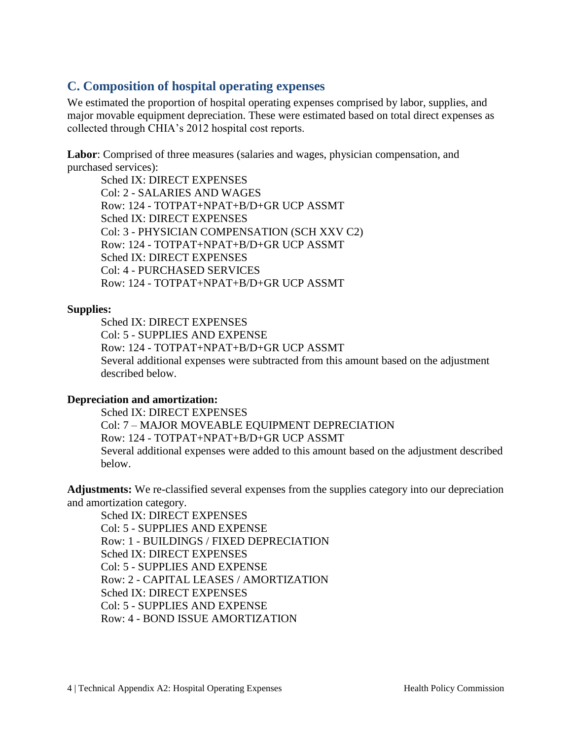## <span id="page-5-0"></span>**C. Composition of hospital operating expenses**

We estimated the proportion of hospital operating expenses comprised by labor, supplies, and major movable equipment depreciation. These were estimated based on total direct expenses as collected through CHIA's 2012 hospital cost reports.

**Labor**: Comprised of three measures (salaries and wages, physician compensation, and purchased services):

Sched IX: DIRECT EXPENSES Col: 2 - SALARIES AND WAGES Row: 124 - TOTPAT+NPAT+B/D+GR UCP ASSMT Sched IX: DIRECT EXPENSES Col: 3 - PHYSICIAN COMPENSATION (SCH XXV C2) Row: 124 - TOTPAT+NPAT+B/D+GR UCP ASSMT Sched IX: DIRECT EXPENSES Col: 4 - PURCHASED SERVICES Row: 124 - TOTPAT+NPAT+B/D+GR UCP ASSMT

#### **Supplies:**

Sched IX: DIRECT EXPENSES Col: 5 - SUPPLIES AND EXPENSE Row: 124 - TOTPAT+NPAT+B/D+GR UCP ASSMT Several additional expenses were subtracted from this amount based on the adjustment described below.

#### **Depreciation and amortization:**

Sched IX: DIRECT EXPENSES Col: 7 – MAJOR MOVEABLE EQUIPMENT DEPRECIATION Row: 124 - TOTPAT+NPAT+B/D+GR UCP ASSMT Several additional expenses were added to this amount based on the adjustment described below.

**Adjustments:** We re-classified several expenses from the supplies category into our depreciation and amortization category.

Sched IX: DIRECT EXPENSES Col: 5 - SUPPLIES AND EXPENSE Row: 1 - BUILDINGS / FIXED DEPRECIATION Sched IX: DIRECT EXPENSES Col: 5 - SUPPLIES AND EXPENSE Row: 2 - CAPITAL LEASES / AMORTIZATION Sched IX: DIRECT EXPENSES Col: 5 - SUPPLIES AND EXPENSE Row: 4 - BOND ISSUE AMORTIZATION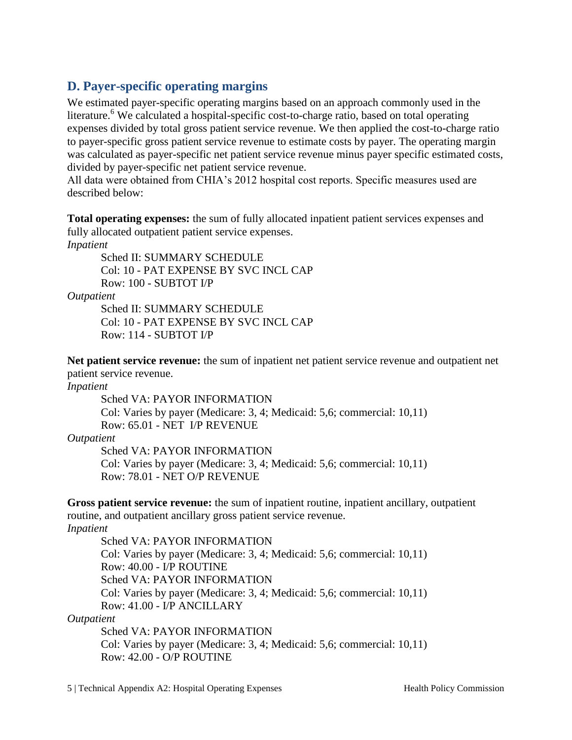## <span id="page-6-0"></span>**D. Payer-specific operating margins**

We estimated payer-specific operating margins based on an approach commonly used in the literature.<sup>6</sup> We calculated a hospital-specific cost-to-charge ratio, based on total operating expenses divided by total gross patient service revenue. We then applied the cost-to-charge ratio to payer-specific gross patient service revenue to estimate costs by payer. The operating margin was calculated as payer-specific net patient service revenue minus payer specific estimated costs, divided by payer-specific net patient service revenue.

All data were obtained from CHIA's 2012 hospital cost reports. Specific measures used are described below:

**Total operating expenses:** the sum of fully allocated inpatient patient services expenses and fully allocated outpatient patient service expenses.

*Inpatient*

Sched II: SUMMARY SCHEDULE Col: 10 - PAT EXPENSE BY SVC INCL CAP Row: 100 - SUBTOT I/P

*Outpatient*

Sched II: SUMMARY SCHEDULE Col: 10 - PAT EXPENSE BY SVC INCL CAP Row: 114 - SUBTOT I/P

**Net patient service revenue:** the sum of inpatient net patient service revenue and outpatient net patient service revenue.

*Inpatient*

Sched VA: PAYOR INFORMATION Col: Varies by payer (Medicare: 3, 4; Medicaid: 5,6; commercial: 10,11) Row: 65.01 - NET I/P REVENUE

*Outpatient*

Sched VA: PAYOR INFORMATION Col: Varies by payer (Medicare: 3, 4; Medicaid: 5,6; commercial: 10,11) Row: 78.01 - NET O/P REVENUE

**Gross patient service revenue:** the sum of inpatient routine, inpatient ancillary, outpatient routine, and outpatient ancillary gross patient service revenue.

*Inpatient*

Sched VA: PAYOR INFORMATION Col: Varies by payer (Medicare: 3, 4; Medicaid: 5,6; commercial: 10,11) Row: 40.00 - I/P ROUTINE Sched VA: PAYOR INFORMATION Col: Varies by payer (Medicare: 3, 4; Medicaid: 5,6; commercial: 10,11) Row: 41.00 - I/P ANCILLARY

*Outpatient*

Sched VA: PAYOR INFORMATION Col: Varies by payer (Medicare: 3, 4; Medicaid: 5,6; commercial: 10,11) Row: 42.00 - O/P ROUTINE